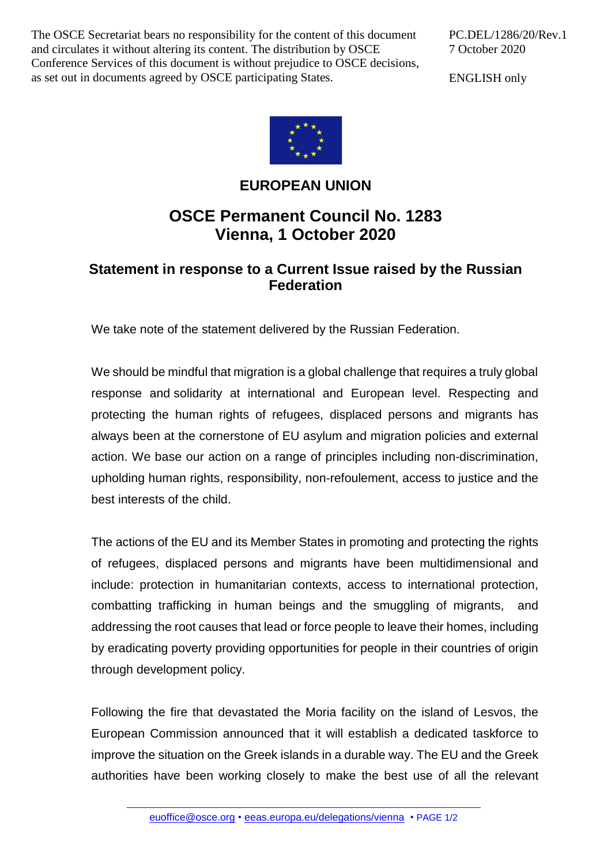The OSCE Secretariat bears no responsibility for the content of this document and circulates it without altering its content. The distribution by OSCE Conference Services of this document is without prejudice to OSCE decisions, as set out in documents agreed by OSCE participating States.

PC.DEL/1286/20/Rev.1 7 October 2020

ENGLISH only



## **EUROPEAN UNION**

## **OSCE Permanent Council No. 1283 Vienna, 1 October 2020**

## **Statement in response to a Current Issue raised by the Russian Federation**

We take note of the statement delivered by the Russian Federation.

We should be mindful that migration is a global challenge that requires a truly global response and solidarity at international and European level. Respecting and protecting the human rights of refugees, displaced persons and migrants has always been at the cornerstone of EU asylum and migration policies and external action. We base our action on a range of principles including non-discrimination, upholding human rights, responsibility, non-refoulement, access to justice and the best interests of the child.

The actions of the EU and its Member States in promoting and protecting the rights of refugees, displaced persons and migrants have been multidimensional and include: protection in humanitarian contexts, access to international protection, combatting trafficking in human beings and the smuggling of migrants, and addressing the root causes that lead or force people to leave their homes, including by eradicating poverty providing opportunities for people in their countries of origin through development policy.

Following the fire that devastated the Moria facility on the island of Lesvos, the European Commission announced that it will establish a dedicated taskforce to improve the situation on the Greek islands in a durable way. The EU and the Greek authorities have been working closely to make the best use of all the relevant